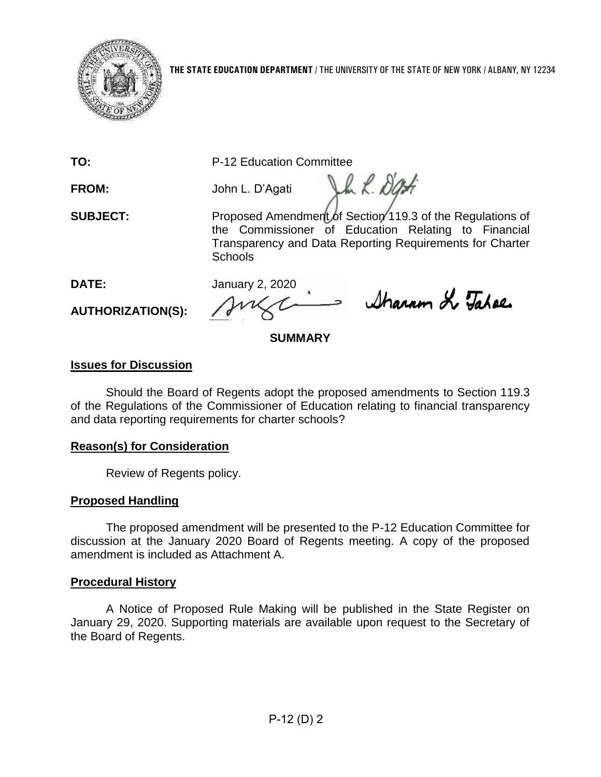

**TO:** P-12 Education Committee

**FROM:** John L. D'Agati

Vh L. Dati

**SUBJECT:** Proposed Amendment of Section 119.3 of the Regulations of the Commissioner of Education Relating to Financial Transparency and Data Reporting Requirements for Charter **Schools** 

**DATE:** January 2, 2020

**AUTHORIZATION(S):**

Sharron & Tahae

# **SUMMARY**

# **Issues for Discussion**

Should the Board of Regents adopt the proposed amendments to Section 119.3 of the Regulations of the Commissioner of Education relating to financial transparency and data reporting requirements for charter schools?

# **Reason(s) for Consideration**

Review of Regents policy.

# **Proposed Handling**

The proposed amendment will be presented to the P-12 Education Committee for discussion at the January 2020 Board of Regents meeting. A copy of the proposed amendment is included as Attachment A.

# **Procedural History**

A Notice of Proposed Rule Making will be published in the State Register on January 29, 2020. Supporting materials are available upon request to the Secretary of the Board of Regents.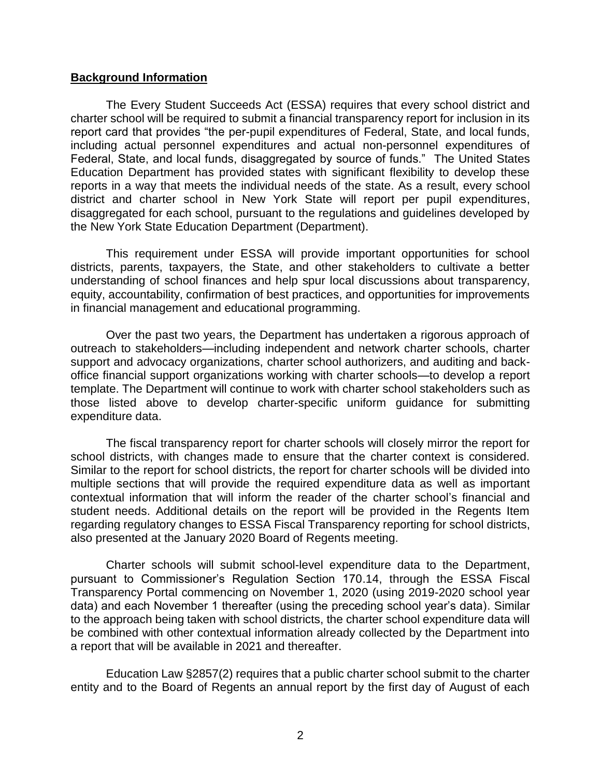#### **Background Information**

The Every Student Succeeds Act (ESSA) requires that every school district and charter school will be required to submit a financial transparency report for inclusion in its report card that provides "the per-pupil expenditures of Federal, State, and local funds, including actual personnel expenditures and actual non-personnel expenditures of Federal, State, and local funds, disaggregated by source of funds." The United States Education Department has provided states with significant flexibility to develop these reports in a way that meets the individual needs of the state. As a result, every school district and charter school in New York State will report per pupil expenditures, disaggregated for each school, pursuant to the regulations and guidelines developed by the New York State Education Department (Department).

This requirement under ESSA will provide important opportunities for school districts, parents, taxpayers, the State, and other stakeholders to cultivate a better understanding of school finances and help spur local discussions about transparency, equity, accountability, confirmation of best practices, and opportunities for improvements in financial management and educational programming.

Over the past two years, the Department has undertaken a rigorous approach of outreach to stakeholders—including independent and network charter schools, charter support and advocacy organizations, charter school authorizers, and auditing and backoffice financial support organizations working with charter schools—to develop a report template. The Department will continue to work with charter school stakeholders such as those listed above to develop charter-specific uniform guidance for submitting expenditure data.

The fiscal transparency report for charter schools will closely mirror the report for school districts, with changes made to ensure that the charter context is considered. Similar to the report for school districts, the report for charter schools will be divided into multiple sections that will provide the required expenditure data as well as important contextual information that will inform the reader of the charter school's financial and student needs. Additional details on the report will be provided in the Regents Item regarding regulatory changes to ESSA Fiscal Transparency reporting for school districts, also presented at the January 2020 Board of Regents meeting.

Charter schools will submit school-level expenditure data to the Department, pursuant to Commissioner's Regulation Section 170.14, through the ESSA Fiscal Transparency Portal commencing on November 1, 2020 (using 2019-2020 school year data) and each November 1 thereafter (using the preceding school year's data). Similar to the approach being taken with school districts, the charter school expenditure data will be combined with other contextual information already collected by the Department into a report that will be available in 2021 and thereafter.

Education Law §2857(2) requires that a public charter school submit to the charter entity and to the Board of Regents an annual report by the first day of August of each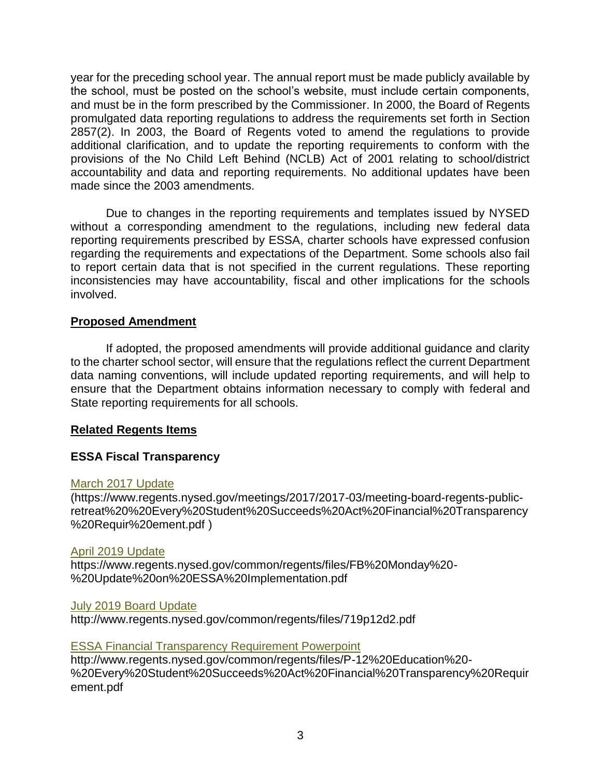year for the preceding school year. The annual report must be made publicly available by the school, must be posted on the school's website, must include certain components, and must be in the form prescribed by the Commissioner. In 2000, the Board of Regents promulgated data reporting regulations to address the requirements set forth in Section 2857(2). In 2003, the Board of Regents voted to amend the regulations to provide additional clarification, and to update the reporting requirements to conform with the provisions of the No Child Left Behind (NCLB) Act of 2001 relating to school/district accountability and data and reporting requirements. No additional updates have been made since the 2003 amendments.

Due to changes in the reporting requirements and templates issued by NYSED without a corresponding amendment to the regulations, including new federal data reporting requirements prescribed by ESSA, charter schools have expressed confusion regarding the requirements and expectations of the Department. Some schools also fail to report certain data that is not specified in the current regulations. These reporting inconsistencies may have accountability, fiscal and other implications for the schools involved.

## **Proposed Amendment**

If adopted, the proposed amendments will provide additional guidance and clarity to the charter school sector, will ensure that the regulations reflect the current Department data naming conventions, will include updated reporting requirements, and will help to ensure that the Department obtains information necessary to comply with federal and State reporting requirements for all schools.

## **Related Regents Items**

## **ESSA Fiscal Transparency**

#### [March 2017 Update](https://www.regents.nysed.gov/meetings/2017/2017-03/meeting-board-regents-public-retreat%20%20Every%20Student%20Succeeds%20Act%20Financial%20Transparency%20Requir%20ement.pdf)

(https://www.regents.nysed.gov/meetings/2017/2017-03/meeting-board-regents-publicretreat%20%20Every%20Student%20Succeeds%20Act%20Financial%20Transparency %20Requir%20ement.pdf )

#### [April 2019 Update](https://www.regents.nysed.gov/common/regents/files/FB%20Monday%20-%20Update%20on%20ESSA%20Implementation.pdf)

https://www.regents.nysed.gov/common/regents/files/FB%20Monday%20- %20Update%20on%20ESSA%20Implementation.pdf

#### [July 2019 Board Update](http://www.regents.nysed.gov/common/regents/files/719p12d2.pdf)

http://www.regents.nysed.gov/common/regents/files/719p12d2.pdf

## [ESSA Financial Transparency Requirement Powerpoint](http://www.regents.nysed.gov/common/regents/files/P-12%20Education%20-%20Every%20Student%20Succeeds%20Act%20Financial%20Transparency%20Requirement.pdf)

http://www.regents.nysed.gov/common/regents/files/P-12%20Education%20- %20Every%20Student%20Succeeds%20Act%20Financial%20Transparency%20Requir ement.pdf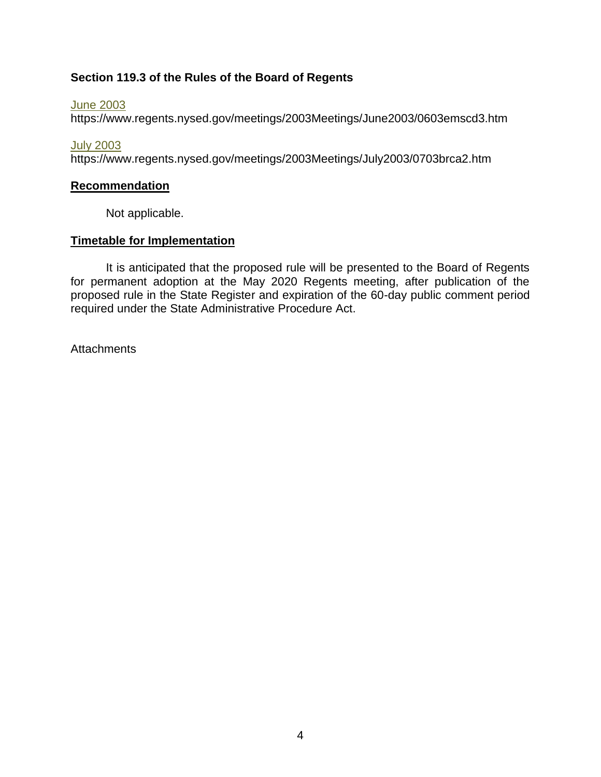# **Section 119.3 of the Rules of the Board of Regents**

[June 2003](https://www.regents.nysed.gov/meetings/2003Meetings/June2003/0603emscd3.htm)

https://www.regents.nysed.gov/meetings/2003Meetings/June2003/0603emscd3.htm

[July 2003](https://www.regents.nysed.gov/meetings/2003Meetings/July2003/0703brca2.htm)

https://www.regents.nysed.gov/meetings/2003Meetings/July2003/0703brca2.htm

## **Recommendation**

Not applicable.

## **Timetable for Implementation**

It is anticipated that the proposed rule will be presented to the Board of Regents for permanent adoption at the May 2020 Regents meeting, after publication of the proposed rule in the State Register and expiration of the 60-day public comment period required under the State Administrative Procedure Act.

**Attachments**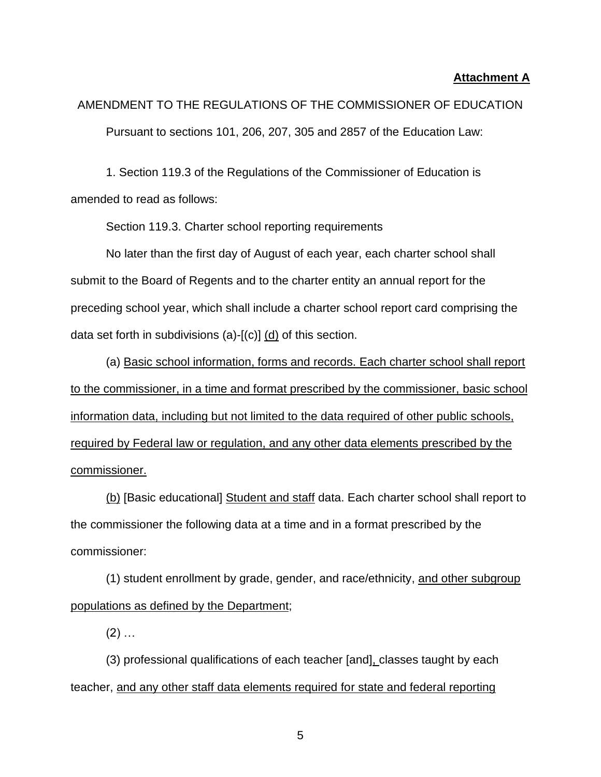#### **Attachment A**

AMENDMENT TO THE REGULATIONS OF THE COMMISSIONER OF EDUCATION Pursuant to sections 101, 206, 207, 305 and 2857 of the Education Law:

1. Section 119.3 of the Regulations of the Commissioner of Education is amended to read as follows:

Section 119.3. Charter school reporting requirements

No later than the first day of August of each year, each charter school shall submit to the Board of Regents and to the charter entity an annual report for the preceding school year, which shall include a charter school report card comprising the data set forth in subdivisions (a)-[(c)] (d) of this section.

(a) Basic school information, forms and records. Each charter school shall report to the commissioner, in a time and format prescribed by the commissioner, basic school information data, including but not limited to the data required of other public schools, required by Federal law or regulation, and any other data elements prescribed by the commissioner.

(b) [Basic educational] Student and staff data. Each charter school shall report to the commissioner the following data at a time and in a format prescribed by the commissioner:

(1) student enrollment by grade, gender, and race/ethnicity, and other subgroup populations as defined by the Department;

 $(2)$  ...

(3) professional qualifications of each teacher [and], classes taught by each teacher, and any other staff data elements required for state and federal reporting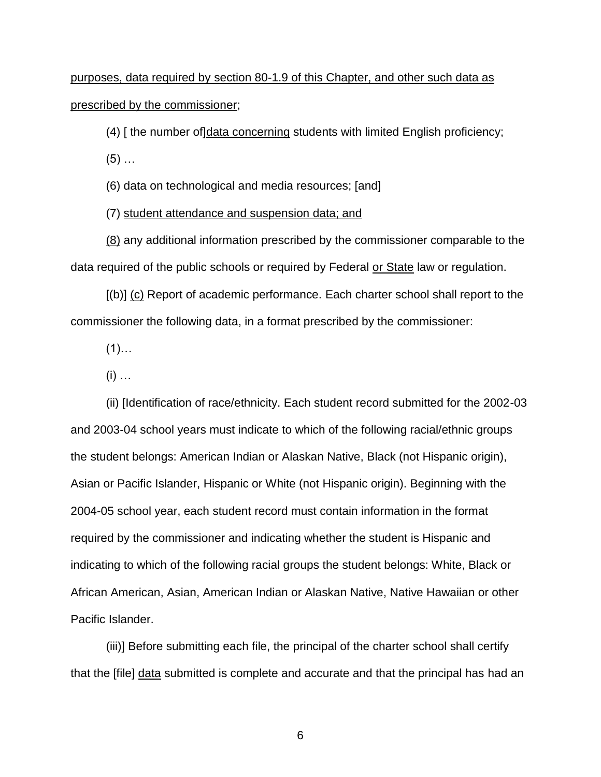purposes, data required by section 80-1.9 of this Chapter, and other such data as prescribed by the commissioner;

(4) [ the number of]data concerning students with limited English proficiency;

 $(5)$  ...

(6) data on technological and media resources; [and]

(7) student attendance and suspension data; and

(8) any additional information prescribed by the commissioner comparable to the data required of the public schools or required by Federal or State law or regulation.

[(b)] (c) Report of academic performance. Each charter school shall report to the commissioner the following data, in a format prescribed by the commissioner:

 $(1)$ …

 $(i)$  …

(ii) [Identification of race/ethnicity. Each student record submitted for the 2002-03 and 2003-04 school years must indicate to which of the following racial/ethnic groups the student belongs: American Indian or Alaskan Native, Black (not Hispanic origin), Asian or Pacific Islander, Hispanic or White (not Hispanic origin). Beginning with the 2004-05 school year, each student record must contain information in the format required by the commissioner and indicating whether the student is Hispanic and indicating to which of the following racial groups the student belongs: White, Black or African American, Asian, American Indian or Alaskan Native, Native Hawaiian or other Pacific Islander.

(iii)] Before submitting each file, the principal of the charter school shall certify that the [file] data submitted is complete and accurate and that the principal has had an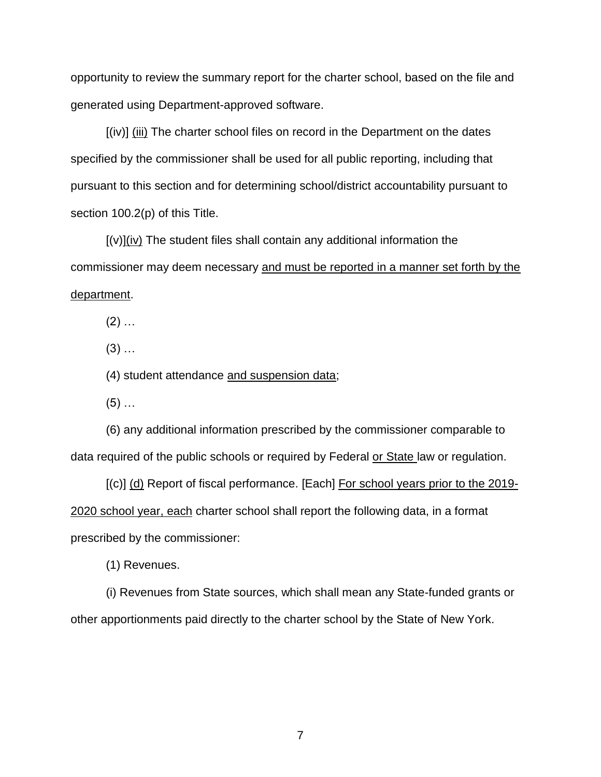opportunity to review the summary report for the charter school, based on the file and generated using Department-approved software.

[(iv)] (iii) The charter school files on record in the Department on the dates specified by the commissioner shall be used for all public reporting, including that pursuant to this section and for determining school/district accountability pursuant to section 100.2(p) of this Title.

[(v)](iv) The student files shall contain any additional information the commissioner may deem necessary and must be reported in a manner set forth by the department.

 $(2)$  ...

 $(3)$  ...

(4) student attendance and suspension data;

 $(5)$  ...

(6) any additional information prescribed by the commissioner comparable to data required of the public schools or required by Federal or State law or regulation.

[(c)] (d) Report of fiscal performance. [Each] For school years prior to the 2019-2020 school year, each charter school shall report the following data, in a format prescribed by the commissioner:

(1) Revenues.

(i) Revenues from State sources, which shall mean any State-funded grants or other apportionments paid directly to the charter school by the State of New York.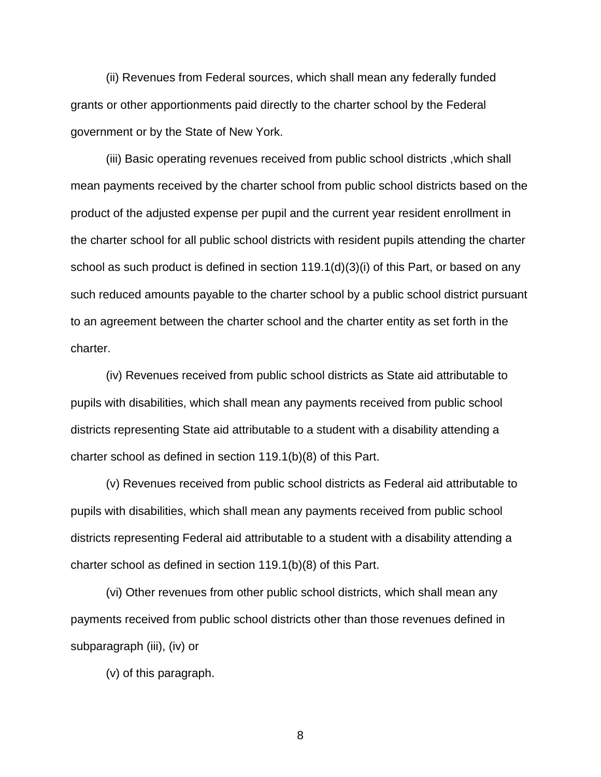(ii) Revenues from Federal sources, which shall mean any federally funded grants or other apportionments paid directly to the charter school by the Federal government or by the State of New York.

(iii) Basic operating revenues received from public school districts ,which shall mean payments received by the charter school from public school districts based on the product of the adjusted expense per pupil and the current year resident enrollment in the charter school for all public school districts with resident pupils attending the charter school as such product is defined in section 119.1(d)(3)(i) of this Part, or based on any such reduced amounts payable to the charter school by a public school district pursuant to an agreement between the charter school and the charter entity as set forth in the charter.

(iv) Revenues received from public school districts as State aid attributable to pupils with disabilities, which shall mean any payments received from public school districts representing State aid attributable to a student with a disability attending a charter school as defined in section 119.1(b)(8) of this Part.

(v) Revenues received from public school districts as Federal aid attributable to pupils with disabilities, which shall mean any payments received from public school districts representing Federal aid attributable to a student with a disability attending a charter school as defined in section 119.1(b)(8) of this Part.

(vi) Other revenues from other public school districts, which shall mean any payments received from public school districts other than those revenues defined in subparagraph (iii), (iv) or

(v) of this paragraph.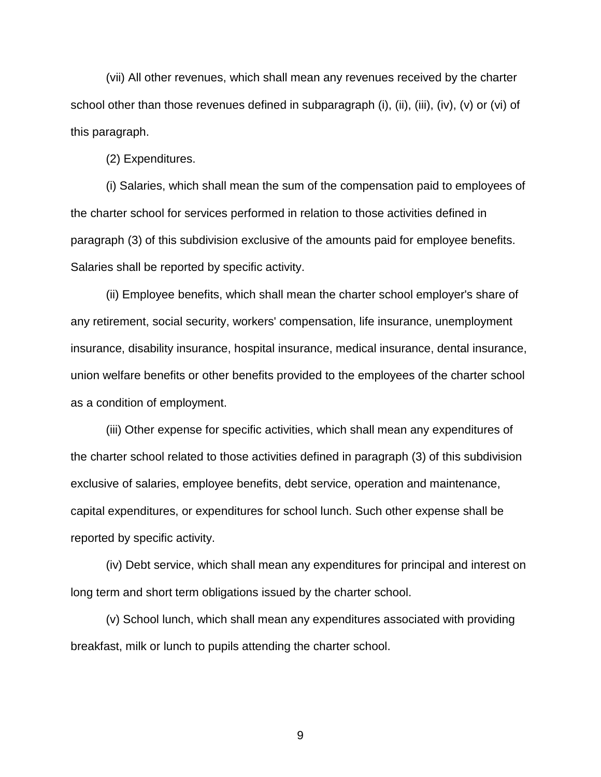(vii) All other revenues, which shall mean any revenues received by the charter school other than those revenues defined in subparagraph (i), (iii), (iii), (iv), (v) or (vi) of this paragraph.

(2) Expenditures.

(i) Salaries, which shall mean the sum of the compensation paid to employees of the charter school for services performed in relation to those activities defined in paragraph (3) of this subdivision exclusive of the amounts paid for employee benefits. Salaries shall be reported by specific activity.

(ii) Employee benefits, which shall mean the charter school employer's share of any retirement, social security, workers' compensation, life insurance, unemployment insurance, disability insurance, hospital insurance, medical insurance, dental insurance, union welfare benefits or other benefits provided to the employees of the charter school as a condition of employment.

(iii) Other expense for specific activities, which shall mean any expenditures of the charter school related to those activities defined in paragraph (3) of this subdivision exclusive of salaries, employee benefits, debt service, operation and maintenance, capital expenditures, or expenditures for school lunch. Such other expense shall be reported by specific activity.

(iv) Debt service, which shall mean any expenditures for principal and interest on long term and short term obligations issued by the charter school.

(v) School lunch, which shall mean any expenditures associated with providing breakfast, milk or lunch to pupils attending the charter school.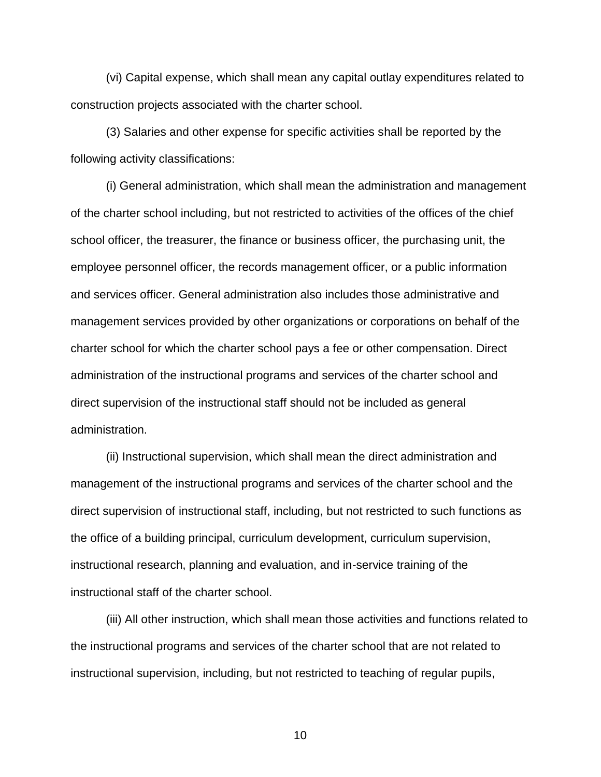(vi) Capital expense, which shall mean any capital outlay expenditures related to construction projects associated with the charter school.

(3) Salaries and other expense for specific activities shall be reported by the following activity classifications:

(i) General administration, which shall mean the administration and management of the charter school including, but not restricted to activities of the offices of the chief school officer, the treasurer, the finance or business officer, the purchasing unit, the employee personnel officer, the records management officer, or a public information and services officer. General administration also includes those administrative and management services provided by other organizations or corporations on behalf of the charter school for which the charter school pays a fee or other compensation. Direct administration of the instructional programs and services of the charter school and direct supervision of the instructional staff should not be included as general administration.

(ii) Instructional supervision, which shall mean the direct administration and management of the instructional programs and services of the charter school and the direct supervision of instructional staff, including, but not restricted to such functions as the office of a building principal, curriculum development, curriculum supervision, instructional research, planning and evaluation, and in-service training of the instructional staff of the charter school.

(iii) All other instruction, which shall mean those activities and functions related to the instructional programs and services of the charter school that are not related to instructional supervision, including, but not restricted to teaching of regular pupils,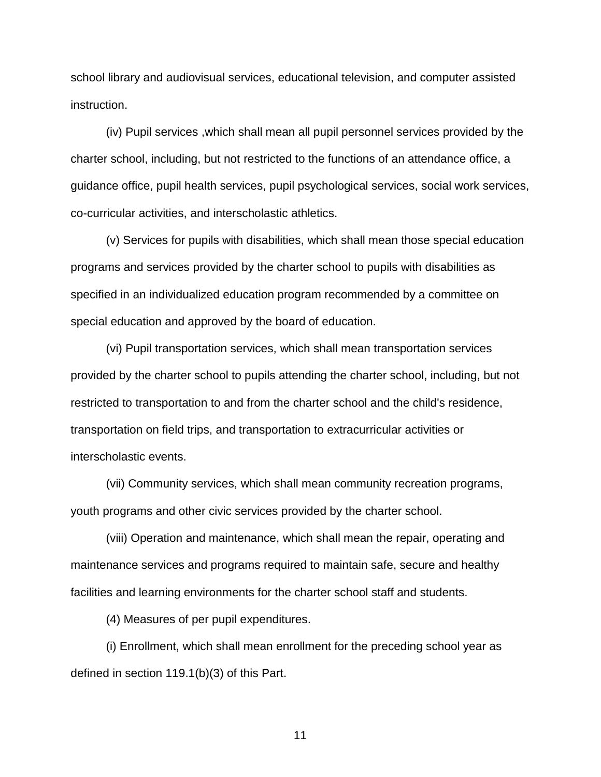school library and audiovisual services, educational television, and computer assisted instruction.

(iv) Pupil services ,which shall mean all pupil personnel services provided by the charter school, including, but not restricted to the functions of an attendance office, a guidance office, pupil health services, pupil psychological services, social work services, co-curricular activities, and interscholastic athletics.

(v) Services for pupils with disabilities, which shall mean those special education programs and services provided by the charter school to pupils with disabilities as specified in an individualized education program recommended by a committee on special education and approved by the board of education.

(vi) Pupil transportation services, which shall mean transportation services provided by the charter school to pupils attending the charter school, including, but not restricted to transportation to and from the charter school and the child's residence, transportation on field trips, and transportation to extracurricular activities or interscholastic events.

(vii) Community services, which shall mean community recreation programs, youth programs and other civic services provided by the charter school.

(viii) Operation and maintenance, which shall mean the repair, operating and maintenance services and programs required to maintain safe, secure and healthy facilities and learning environments for the charter school staff and students.

(4) Measures of per pupil expenditures.

(i) Enrollment, which shall mean enrollment for the preceding school year as defined in section 119.1(b)(3) of this Part.